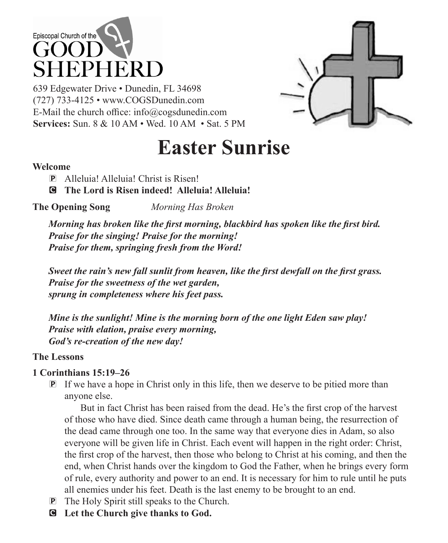

639 Edgewater Drive • Dunedin, FL 34698 (727) 733-4125 • www.COGSDunedin.com E-Mail the church office: info@cogsdunedin.com **Services:** Sun. 8 & 10 AM • Wed. 10 AM • Sat. 5 PM



# **Easter Sunrise**

#### **Welcome**

- P Alleluia! Alleluia! Christ is Risen!
- C **The Lord is Risen indeed! Alleluia! Alleluia!**

**The Opening Song** *Morning Has Broken*

*Morning has broken like the first morning, blackbird has spoken like the first bird. Praise for the singing! Praise for the morning! Praise for them, springing fresh from the Word!*

*Sweet the rain's new fall sunlit from heaven, like the first dewfall on the first grass. Praise for the sweetness of the wet garden, sprung in completeness where his feet pass.*

*Mine is the sunlight! Mine is the morning born of the one light Eden saw play! Praise with elation, praise every morning, God's re-creation of the new day!*

## **The Lessons**

## **1 Corinthians 15:19–26**

P If we have a hope in Christ only in this life, then we deserve to be pitied more than anyone else.

 But in fact Christ has been raised from the dead. He's the first crop of the harvest of those who have died. Since death came through a human being, the resurrection of the dead came through one too. In the same way that everyone dies in Adam, so also everyone will be given life in Christ. Each event will happen in the right order: Christ, the first crop of the harvest, then those who belong to Christ at his coming, and then the end, when Christ hands over the kingdom to God the Father, when he brings every form of rule, every authority and power to an end. It is necessary for him to rule until he puts all enemies under his feet. Death is the last enemy to be brought to an end.

- P The Holy Spirit still speaks to the Church.
- C **Let the Church give thanks to God.**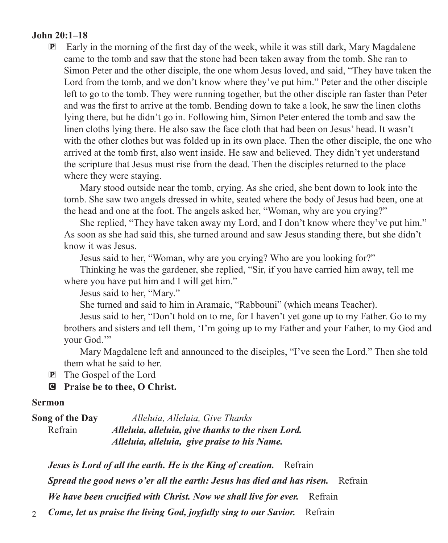#### **John 20:1–18**

P Early in the morning of the first day of the week, while it was still dark, Mary Magdalene came to the tomb and saw that the stone had been taken away from the tomb. She ran to Simon Peter and the other disciple, the one whom Jesus loved, and said, "They have taken the Lord from the tomb, and we don't know where they've put him." Peter and the other disciple left to go to the tomb. They were running together, but the other disciple ran faster than Peter and was the first to arrive at the tomb. Bending down to take a look, he saw the linen cloths lying there, but he didn't go in. Following him, Simon Peter entered the tomb and saw the linen cloths lying there. He also saw the face cloth that had been on Jesus' head. It wasn't with the other clothes but was folded up in its own place. Then the other disciple, the one who arrived at the tomb first, also went inside. He saw and believed. They didn't yet understand the scripture that Jesus must rise from the dead. Then the disciples returned to the place where they were staying.

 Mary stood outside near the tomb, crying. As she cried, she bent down to look into the tomb. She saw two angels dressed in white, seated where the body of Jesus had been, one at the head and one at the foot. The angels asked her, "Woman, why are you crying?"

 She replied, "They have taken away my Lord, and I don't know where they've put him." As soon as she had said this, she turned around and saw Jesus standing there, but she didn't know it was Jesus.

Jesus said to her, "Woman, why are you crying? Who are you looking for?"

 Thinking he was the gardener, she replied, "Sir, if you have carried him away, tell me where you have put him and I will get him."

Jesus said to her, "Mary."

She turned and said to him in Aramaic, "Rabbouni" (which means Teacher).

 Jesus said to her, "Don't hold on to me, for I haven't yet gone up to my Father. Go to my brothers and sisters and tell them, 'I'm going up to my Father and your Father, to my God and your God.'"

 Mary Magdalene left and announced to the disciples, "I've seen the Lord." Then she told them what he said to her.

P The Gospel of the Lord

C **Praise be to thee, O Christ.**

#### **Sermon**

#### **Song of the Day** *Alleluia, Alleluia, Give Thanks*

Refrain *Alleluia, alleluia, give thanks to the risen Lord. Alleluia, alleluia, give praise to his Name.*

*Jesus is Lord of all the earth. He is the King of creation.* Refrain *Spread the good news o'er all the earth: Jesus has died and has risen.* Refrain *We have been crucified with Christ. Now we shall live for ever.* Refrain

2 *Come, let us praise the living God, joyfully sing to our Savior.* Refrain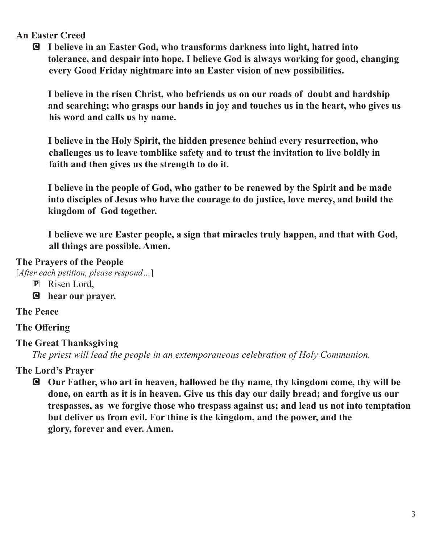**An Easter Creed**

C **I believe in an Easter God, who transforms darkness into light, hatred into tolerance, and despair into hope. I believe God is always working for good, changing every Good Friday nightmare into an Easter vision of new possibilities.**

 **I believe in the risen Christ, who befriends us on our roads of doubt and hardship and searching; who grasps our hands in joy and touches us in the heart, who gives us his word and calls us by name.**

 **I believe in the Holy Spirit, the hidden presence behind every resurrection, who challenges us to leave tomblike safety and to trust the invitation to live boldly in faith and then gives us the strength to do it.** 

 **I believe in the people of God, who gather to be renewed by the Spirit and be made into disciples of Jesus who have the courage to do justice, love mercy, and build the kingdom of God together.**

 **I believe we are Easter people, a sign that miracles truly happen, and that with God, all things are possible. Amen.**

#### **The Prayers of the People**

[*After each petition, please respond…*]

P Risen Lord,

C **hear our prayer.**

**The Peace**

**The Offering**

## **The Great Thanksgiving**

*The priest will lead the people in an extemporaneous celebration of Holy Communion.*

**The Lord's Prayer**

C **Our Father, who art in heaven, hallowed be thy name, thy kingdom come, thy will be done, on earth as it is in heaven. Give us this day our daily bread; and forgive us our trespasses, as we forgive those who trespass against us; and lead us not into temptation but deliver us from evil. For thine is the kingdom, and the power, and the glory, forever and ever. Amen.**